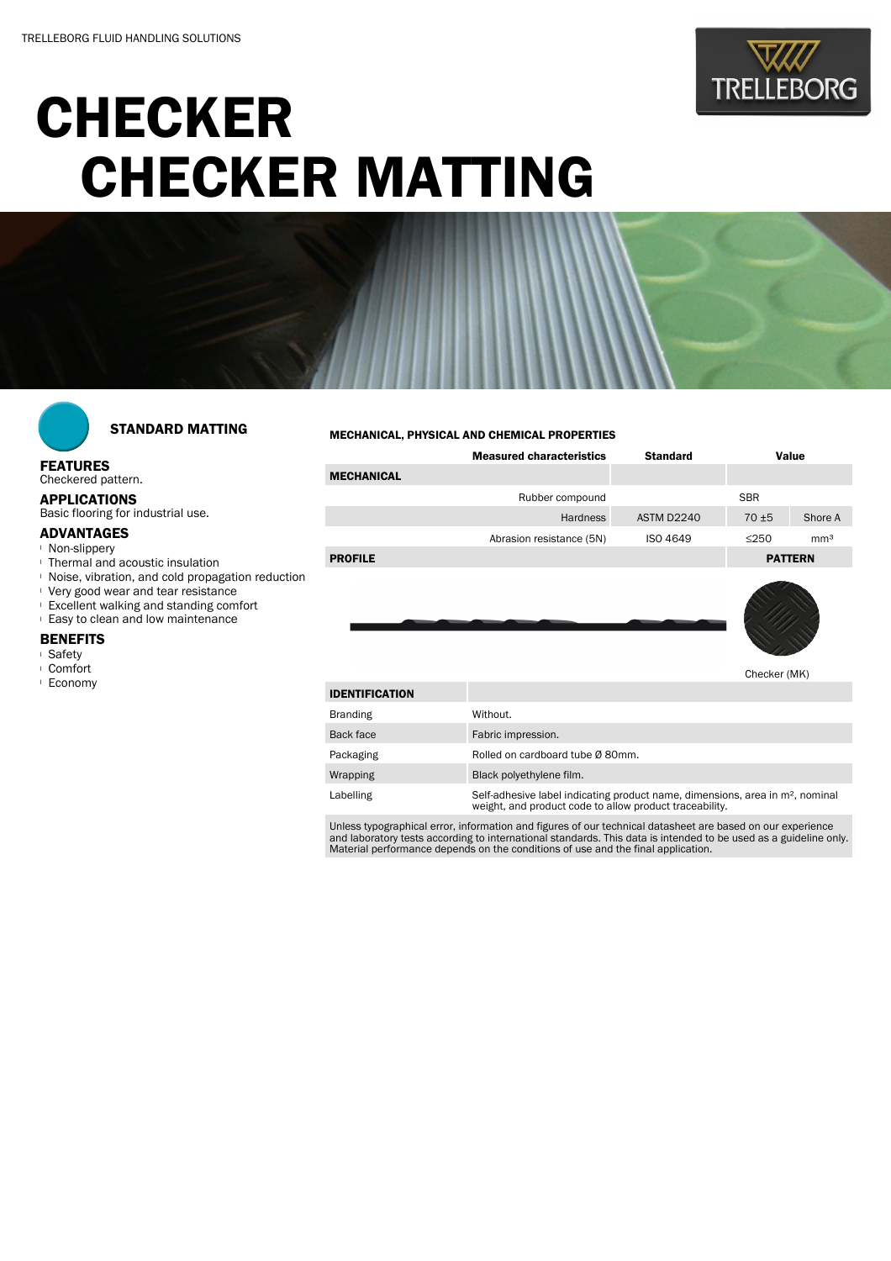

# **CHECKER** CHECKER MATTING



## STANDARD MATTING

### FEATURES

Checkered pattern.

APPLICATIONS

Basic flooring for industrial use.

### ADVANTAGES

- <sup>l</sup> Non-slippery
- <sup>l</sup> Thermal and acoustic insulation
- <sup>l</sup> Noise, vibration, and cold propagation reduction
- <sup>l</sup> Very good wear and tear resistance
- <sup>l</sup> Excellent walking and standing comfort
- <sup>l</sup> Easy to clean and low maintenance

#### **BENEFITS**

- <sup>l</sup> Safety
- <sup>l</sup> Comfort
- <sup>l</sup> Economy

#### MECHANICAL, PHYSICAL AND CHEMICAL PROPERTIES

|                   | <b>Measured characteristics</b> | <b>Standard</b> | Value          |                 |
|-------------------|---------------------------------|-----------------|----------------|-----------------|
| <b>MECHANICAL</b> |                                 |                 |                |                 |
|                   | Rubber compound                 |                 | <b>SBR</b>     |                 |
|                   | <b>Hardness</b>                 | ASTM D2240      | $70 + 5$       | Shore A         |
|                   | Abrasion resistance (5N)        | <b>ISO 4649</b> | $\leq$ 250     | mm <sup>3</sup> |
| <b>PROFILE</b>    |                                 |                 | <b>PATTERN</b> |                 |
|                   |                                 |                 |                |                 |



Checker (MK)

| <b>IDENTIFICATION</b> |                                                                                                                                                      |
|-----------------------|------------------------------------------------------------------------------------------------------------------------------------------------------|
| <b>Branding</b>       | Without.                                                                                                                                             |
| Back face             | Fabric impression.                                                                                                                                   |
| Packaging             | Rolled on cardboard tube Ø 80mm.                                                                                                                     |
| Wrapping              | Black polyethylene film.                                                                                                                             |
| Labelling             | Self-adhesive label indicating product name, dimensions, area in m <sup>2</sup> , nominal<br>weight, and product code to allow product traceability. |

Unless typographical error, information and figures of our technical datasheet are based on our experience<br>and laboratory tests according to international standards. This data is intended to be used as a guideline only.<br>Ma